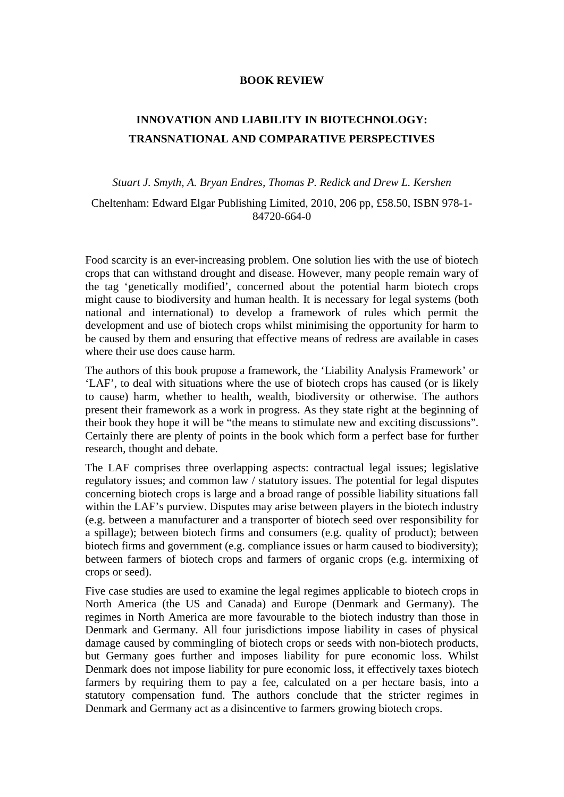## **BOOK REVIEW**

## **INNOVATION AND LIABILITY IN BIOTECHNOLOGY: TRANSNATIONAL AND COMPARATIVE PERSPECTIVES**

## *Stuart J. Smyth, A. Bryan Endres, Thomas P. Redick and Drew L. Kershen*

Cheltenham: Edward Elgar Publishing Limited, 2010, 206 pp, £58.50, ISBN 978-1- 84720-664-0

Food scarcity is an ever-increasing problem. One solution lies with the use of biotech crops that can withstand drought and disease. However, many people remain wary of the tag 'genetically modified', concerned about the potential harm biotech crops might cause to biodiversity and human health. It is necessary for legal systems (both national and international) to develop a framework of rules which permit the development and use of biotech crops whilst minimising the opportunity for harm to be caused by them and ensuring that effective means of redress are available in cases where their use does cause harm.

The authors of this book propose a framework, the 'Liability Analysis Framework' or 'LAF', to deal with situations where the use of biotech crops has caused (or is likely to cause) harm, whether to health, wealth, biodiversity or otherwise. The authors present their framework as a work in progress. As they state right at the beginning of their book they hope it will be "the means to stimulate new and exciting discussions". Certainly there are plenty of points in the book which form a perfect base for further research, thought and debate.

The LAF comprises three overlapping aspects: contractual legal issues; legislative regulatory issues; and common law / statutory issues. The potential for legal disputes concerning biotech crops is large and a broad range of possible liability situations fall within the LAF's purview. Disputes may arise between players in the biotech industry (e.g. between a manufacturer and a transporter of biotech seed over responsibility for a spillage); between biotech firms and consumers (e.g. quality of product); between biotech firms and government (e.g. compliance issues or harm caused to biodiversity); between farmers of biotech crops and farmers of organic crops (e.g. intermixing of crops or seed).

Five case studies are used to examine the legal regimes applicable to biotech crops in North America (the US and Canada) and Europe (Denmark and Germany). The regimes in North America are more favourable to the biotech industry than those in Denmark and Germany. All four jurisdictions impose liability in cases of physical damage caused by commingling of biotech crops or seeds with non-biotech products, but Germany goes further and imposes liability for pure economic loss. Whilst Denmark does not impose liability for pure economic loss, it effectively taxes biotech farmers by requiring them to pay a fee, calculated on a per hectare basis, into a statutory compensation fund. The authors conclude that the stricter regimes in Denmark and Germany act as a disincentive to farmers growing biotech crops.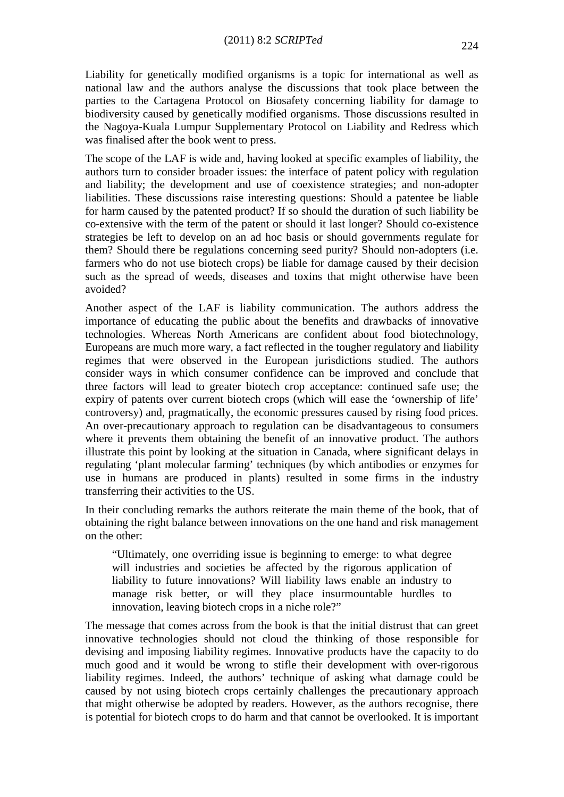Liability for genetically modified organisms is a topic for international as well as national law and the authors analyse the discussions that took place between the parties to the Cartagena Protocol on Biosafety concerning liability for damage to biodiversity caused by genetically modified organisms. Those discussions resulted in the Nagoya-Kuala Lumpur Supplementary Protocol on Liability and Redress which was finalised after the book went to press.

The scope of the LAF is wide and, having looked at specific examples of liability, the authors turn to consider broader issues: the interface of patent policy with regulation and liability; the development and use of coexistence strategies; and non-adopter liabilities. These discussions raise interesting questions: Should a patentee be liable for harm caused by the patented product? If so should the duration of such liability be co-extensive with the term of the patent or should it last longer? Should co-existence strategies be left to develop on an ad hoc basis or should governments regulate for them? Should there be regulations concerning seed purity? Should non-adopters (i.e. farmers who do not use biotech crops) be liable for damage caused by their decision such as the spread of weeds, diseases and toxins that might otherwise have been avoided?

Another aspect of the LAF is liability communication. The authors address the importance of educating the public about the benefits and drawbacks of innovative technologies. Whereas North Americans are confident about food biotechnology, Europeans are much more wary, a fact reflected in the tougher regulatory and liability regimes that were observed in the European jurisdictions studied. The authors consider ways in which consumer confidence can be improved and conclude that three factors will lead to greater biotech crop acceptance: continued safe use; the expiry of patents over current biotech crops (which will ease the 'ownership of life' controversy) and, pragmatically, the economic pressures caused by rising food prices. An over-precautionary approach to regulation can be disadvantageous to consumers where it prevents them obtaining the benefit of an innovative product. The authors illustrate this point by looking at the situation in Canada, where significant delays in regulating 'plant molecular farming' techniques (by which antibodies or enzymes for use in humans are produced in plants) resulted in some firms in the industry transferring their activities to the US.

In their concluding remarks the authors reiterate the main theme of the book, that of obtaining the right balance between innovations on the one hand and risk management on the other:

"Ultimately, one overriding issue is beginning to emerge: to what degree will industries and societies be affected by the rigorous application of liability to future innovations? Will liability laws enable an industry to manage risk better, or will they place insurmountable hurdles to innovation, leaving biotech crops in a niche role?"

The message that comes across from the book is that the initial distrust that can greet innovative technologies should not cloud the thinking of those responsible for devising and imposing liability regimes. Innovative products have the capacity to do much good and it would be wrong to stifle their development with over-rigorous liability regimes. Indeed, the authors' technique of asking what damage could be caused by not using biotech crops certainly challenges the precautionary approach that might otherwise be adopted by readers. However, as the authors recognise, there is potential for biotech crops to do harm and that cannot be overlooked. It is important